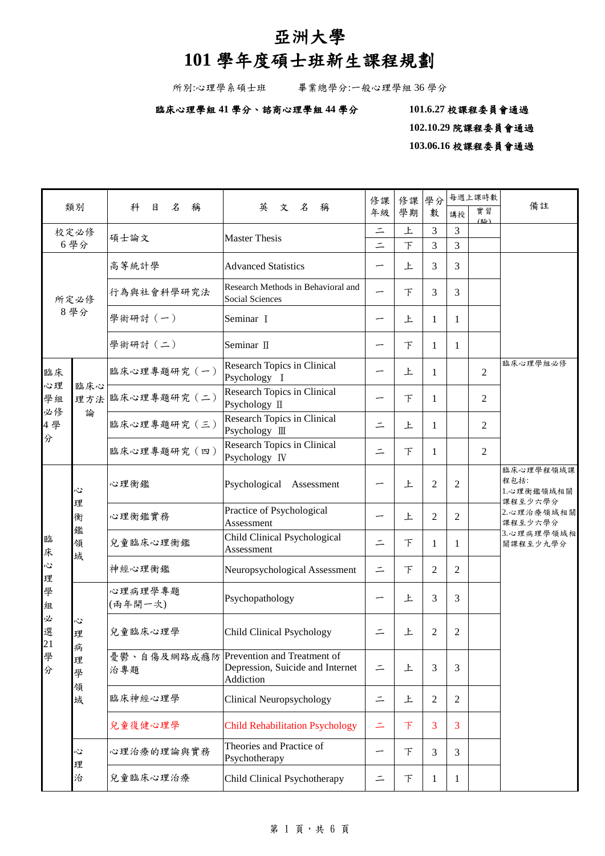## 亞洲大學

# **101** 學年度碩士班新生課程規劃

所別:心理學系碩士班 畢業總學分:一般心理學組 36 學分

### 臨床心理學組 **41** 學分、諮商心理學組 **44** 學分 **101.6.27** 校課程委員會通過

 **102.10.29** 院課程委員會通過

**103.06.16** 校課程委員會通過

| 類別                        |                            |                    |                                                                                          | 修課       | 修課 | 學分             | 每週上課時數         |                | 備註                                         |  |
|---------------------------|----------------------------|--------------------|------------------------------------------------------------------------------------------|----------|----|----------------|----------------|----------------|--------------------------------------------|--|
|                           |                            | 名<br>稱<br>科<br>目   | 英<br>文名<br>稱                                                                             |          | 學期 | 數              | 講授             | 實習<br>(坠)      |                                            |  |
| 校定必修<br>6學分               |                            | 碩士論文               | <b>Master Thesis</b>                                                                     | $\equiv$ | 上  | 3              | 3              |                |                                            |  |
|                           |                            |                    |                                                                                          | $\equiv$ | 下  | 3              | 3              |                |                                            |  |
|                           |                            | 高等統計學              | <b>Advanced Statistics</b>                                                               |          | 上  | 3              | 3              |                |                                            |  |
|                           | 所定必修                       | 行為與社會科學研究法         | Research Methods in Behavioral and<br>Social Sciences                                    |          | 下  | 3              | 3              |                |                                            |  |
| 8學分                       |                            | 學術研討 (一)           | Seminar I                                                                                |          | 上  | 1              | 1              |                |                                            |  |
|                           |                            | 學術研討 (二)           | Seminar II                                                                               |          | F  | 1              | 1              |                |                                            |  |
| 臨床<br>心理                  | 臨床心                        | 臨床心理專題研究 (一)       | Research Topics in Clinical<br>Psychology I                                              |          | 上  | 1              |                | $\overline{2}$ | 臨床心理學組必修                                   |  |
| 學組<br>必修                  | 論                          | 理方法 臨床心理專題研究 (二)   | Research Topics in Clinical<br>Psychology II                                             |          | 下  | 1              |                | 2              |                                            |  |
| 4學                        |                            | 臨床心理專題研究 (三)       | Research Topics in Clinical<br>Psychology III                                            | $\equiv$ | 上  | 1              |                | 2              |                                            |  |
| 分                         |                            | 臨床心理專題研究 (四)       | Research Topics in Clinical<br>Psychology IV                                             |          | 下  | 1              |                | 2              |                                            |  |
|                           | Č<br>理<br>衡<br>鑑<br>領<br>域 | 心理衡鑑               | Psychological<br>Assessment                                                              |          | 上  | $\overline{2}$ | 2              |                | 臨床心理學程領域課<br>程包括:<br>1.心理衡鑑領域相關<br>課程至少六學分 |  |
|                           |                            | 心理衡鑑實務             | Practice of Psychological<br>Assessment                                                  |          | 上  | 2              | $\overline{2}$ |                | 2.心理治療領域相關<br>課程至少六學分                      |  |
| 臨<br>床                    |                            | 兒童臨床心理衡鑑           | Child Clinical Psychological<br>Assessment                                               | $\equiv$ | 下  | 1              | 1              |                | 3.心理病理學領域相<br>關課程至少九學分                     |  |
| $\ddot{\mathcal{C}}$<br>理 |                            | 神經心理衡鑑             | Neuropsychological Assessment                                                            | $\equiv$ | F  | 2              | 2              |                |                                            |  |
| 學<br>組                    |                            | 心理病理學專題<br>(兩年開一次) | Psychopathology                                                                          |          | 上  | 3              | 3              |                |                                            |  |
| 必<br>選                    | Ĉ<br>理                     | 兒童臨床心理學            | Child Clinical Psychology                                                                | 二        | 上  | 2              | 2              |                |                                            |  |
| 21 學 分                    | 病<br>理<br>學<br>領           | 治專題                | 憂鬱、自傷及網路成癮防 Prevention and Treatment of<br>Depression, Suicide and Internet<br>Addiction | $\equiv$ | 上  | 3              | 3              |                |                                            |  |
|                           | 域                          | 臨床神經心理學            | Clinical Neuropsychology                                                                 | 드        | 上  | $\overline{c}$ | 2              |                |                                            |  |
|                           |                            | 兒童復健心理學            | <b>Child Rehabilitation Psychology</b>                                                   | 二        | 下  | 3              | 3              |                |                                            |  |
|                           | Ľ<br>理                     | 心理治療的理論與實務         | Theories and Practice of<br>Psychotherapy                                                |          | 下  | 3              | 3              |                |                                            |  |
|                           | 治                          | 兒童臨床心理治療           | Child Clinical Psychotherapy                                                             | 二        | 下  | 1              | 1              |                |                                            |  |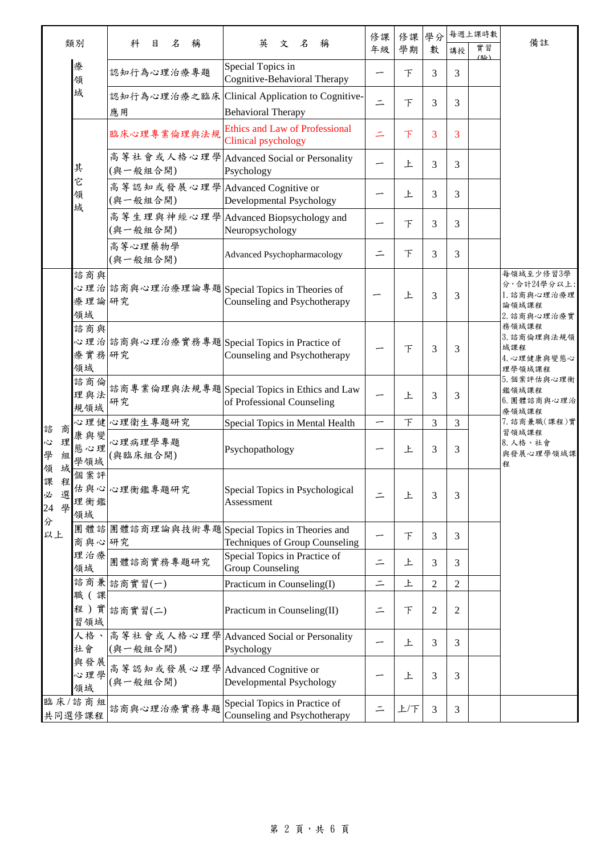| 類別                               |                    |                                              |                                                                                | 修課       | 修課 | 學分             |                | 每週上課時數    | 備註                                                              |  |  |
|----------------------------------|--------------------|----------------------------------------------|--------------------------------------------------------------------------------|----------|----|----------------|----------------|-----------|-----------------------------------------------------------------|--|--|
|                                  |                    | 名<br>科<br>目<br>稱                             | 英<br>文 名<br>稱                                                                  |          | 學期 | 數              | 講授             | 實習<br>(睑) |                                                                 |  |  |
|                                  | 療<br>領             | 認知行為心理治療專題                                   | Special Topics in<br>Cognitive-Behavioral Therapy                              |          | 下  | 3              | 3              |           |                                                                 |  |  |
|                                  | 域                  | 應用                                           | 認知行為心理治療之臨床 Clinical Application to Cognitive-<br><b>Behavioral Therapy</b>    | $\equiv$ | 下  | 3              | 3              |           |                                                                 |  |  |
|                                  |                    | 臨床心理專業倫理與法規                                  | <b>Ethics and Law of Professional</b><br>Clinical psychology                   |          | 下  | 3              | 3              |           |                                                                 |  |  |
|                                  | 其                  | (與一般組合開)                                     | 高等社會或人格心理學 Advanced Social or Personality<br>Psychology                        |          | 上  | 3              | 3              |           |                                                                 |  |  |
|                                  | 它<br>領<br>域        | 高等認知或發展心理學 Advanced Cognitive or<br>(與一般組合開) | Developmental Psychology                                                       |          | 上  | 3              | 3              |           |                                                                 |  |  |
|                                  |                    | (與一般組合開)                                     | 高等生理與神經心理學 Advanced Biopsychology and<br>Neuropsychology                       |          | 下  | 3              | 3              |           |                                                                 |  |  |
|                                  |                    | 高等心理藥物學<br>(與一般組合開)                          | Advanced Psychopharmacology                                                    | ニ        | 下  | 3              | 3              |           |                                                                 |  |  |
|                                  | 諮商與<br>療理論研究<br>領域 |                                              | 心理治 諮商與心理治療理論專題 Special Topics in Theories of<br>Counseling and Psychotherapy  |          | 上  | 3              | 3              |           | 每領域至少修習3學<br>分,合計24學分以上:<br>1. 諮商與心理治療理<br>論領域課程<br>2. 諮商與心理治療實 |  |  |
|                                  | 諮商與<br>療實務研究<br>領域 |                                              | 心理治 諮商與心理治療實務專題 Special Topics in Practice of<br>Counseling and Psychotherapy  |          | 下  | 3              | 3              |           | 務領域課程<br>3. 諮商倫理與法規領<br>域課程<br>4. 心理健康與變態心<br>理學領域課程            |  |  |
|                                  | 諮商倫<br>理與法<br>規領域  | 研究                                           | 諮商專業倫理與法規專題Special Topics in Ethics and Law<br>of Professional Counseling      |          | 上  | 3              | 3              |           | 5. 個案評估與心理衡<br>鑑領域課程<br>6. 團體諮商與心理治<br>療領域課程                    |  |  |
| 商<br>諮                           | 心理健                | 心理衛生專題研究                                     | Special Topics in Mental Health                                                |          | F  | 3              | 3              |           | 7. 諮商兼職(課程)實                                                    |  |  |
| 理<br>Š,<br>學<br>組<br>域<br>領      | 康與變<br>態心理<br>學領域  | 心理病理學專題<br>(與臨床組合開)                          | Psychopathology                                                                |          | 上  | 3              | 3              |           | 習領域課程<br>8. 人格、社會<br>與發展心理學領域課<br>程                             |  |  |
| 課<br>程<br>必<br>選<br>學<br>24<br>分 | 個案評<br>理衡鑑<br>領域   | 估與心心理衡鑑專題研究                                  | Special Topics in Psychological<br>Assessment                                  |          | 上  | 3              | 3              |           |                                                                 |  |  |
| 以上                               | 商與心研究              |                                              | 團體諮團體諮商理論與技術專題Special Topics in Theories and<br>Techniques of Group Counseling |          | 下  | 3              | 3              |           |                                                                 |  |  |
|                                  | 理治療<br>領域          | 團體諮商實務專題研究                                   | Special Topics in Practice of<br><b>Group Counseling</b>                       | $\equiv$ | 上  | 3              | 3              |           |                                                                 |  |  |
|                                  |                    | 諮商兼 諮商實習(一)                                  | Practicum in Counseling(I)                                                     | $\equiv$ | 上  | $\mathbf{2}$   | 2              |           |                                                                 |  |  |
|                                  | 職 (課<br>習領域        | 程)實診商實習(二)                                   | Practicum in Counseling(II)                                                    | Ξ        | 下  | $\overline{2}$ | $\overline{c}$ |           |                                                                 |  |  |
|                                  | 人格、<br>社會          | 高等社會或人格心理學<br>(與一般組合開)                       | <b>Advanced Social or Personality</b><br>Psychology                            |          | 上  | 3              | 3              |           |                                                                 |  |  |
|                                  | 與發展<br>心理學<br>領域   | 高等認知或發展心理學Advanced Cognitive or<br>(與一般組合開)  | Developmental Psychology                                                       |          | 上  | 3              | 3              |           |                                                                 |  |  |
|                                  | 臨床/諮商組<br>共同選修課程   | 諮商與心理治療實務專題                                  | Special Topics in Practice of<br>Counseling and Psychotherapy                  |          | 上下 | 3              | 3              |           |                                                                 |  |  |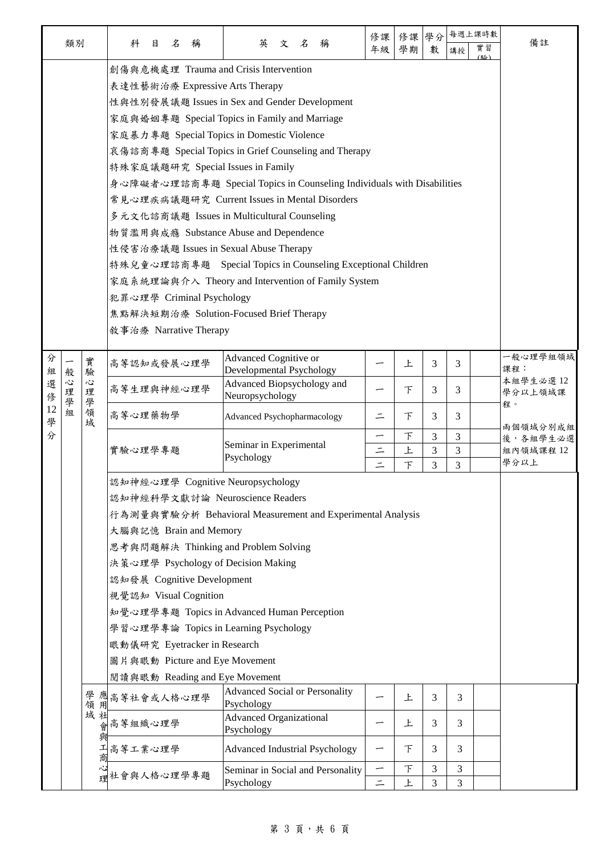|         | 類別     |             | 科<br>名<br>稱<br>目                                                                                                                                                                                                                                                                                                                                                                  | 英<br>文名<br>稱                                                                                                                                                                                                                                                                                                                                                                                                                                            | 修課<br>年級                  | 修課<br>學期         | 學分<br>數     | 講授          | 每週上課時數<br>實習 | 備註                            |
|---------|--------|-------------|-----------------------------------------------------------------------------------------------------------------------------------------------------------------------------------------------------------------------------------------------------------------------------------------------------------------------------------------------------------------------------------|---------------------------------------------------------------------------------------------------------------------------------------------------------------------------------------------------------------------------------------------------------------------------------------------------------------------------------------------------------------------------------------------------------------------------------------------------------|---------------------------|------------------|-------------|-------------|--------------|-------------------------------|
|         |        |             | 創傷與危機處理 Trauma and Crisis Intervention<br>表達性藝術治療 Expressive Arts Therapy<br>家庭暴力專題 Special Topics in Domestic Violence<br>特殊家庭議題研究 Special Issues in Family<br>物質濫用與成瘾 Substance Abuse and Dependence<br>性侵害治療議題 Issues in Sexual Abuse Therapy                                                                                                                                  | 性與性別發展議題 Issues in Sex and Gender Development<br>家庭與婚姻專題 Special Topics in Family and Marriage<br>哀傷諮商專題 Special Topics in Grief Counseling and Therapy<br>身心障礙者心理諮商專題 Special Topics in Counseling Individuals with Disabilities<br>常見心理疾病議題研究 Current Issues in Mental Disorders<br>多元文化諮商議題 Issues in Multicultural Counseling<br>特殊兒童心理諮商專題 Special Topics in Counseling Exceptional Children<br>家庭系統理論與介入 Theory and Intervention of Family System |                           |                  |             |             | (胚人)         |                               |
|         |        |             | 犯罪心理學 Criminal Psychology<br>焦點解決短期治療 Solution-Focused Brief Therapy<br>敘事治療 Narrative Therapy                                                                                                                                                                                                                                                                                    |                                                                                                                                                                                                                                                                                                                                                                                                                                                         |                           |                  |             |             |              |                               |
| 分<br>組  | 般      | 實<br>驗      | 高等認知或發展心理學                                                                                                                                                                                                                                                                                                                                                                        | Advanced Cognitive or<br>Developmental Psychology                                                                                                                                                                                                                                                                                                                                                                                                       |                           | 上                | 3           | 3           |              | 一般心理學組領域<br>課程:               |
| 選<br>俢  | 心<br>理 | 心<br>理      | 高等生理與神經心理學                                                                                                                                                                                                                                                                                                                                                                        | Advanced Biopsychology and<br>Neuropsychology                                                                                                                                                                                                                                                                                                                                                                                                           |                           | 下                | 3           | 3           |              | 本組學生必選12<br>學分以上領域課           |
| 12<br>學 | 學<br>組 | 學<br>領<br>域 | 高等心理藥物學                                                                                                                                                                                                                                                                                                                                                                           | <b>Advanced Psychopharmacology</b>                                                                                                                                                                                                                                                                                                                                                                                                                      | ⋍                         | F                | 3           | 3           |              | 程。<br>兩個領域分別成組                |
| 分       |        |             | 實驗心理學專題                                                                                                                                                                                                                                                                                                                                                                           | Seminar in Experimental<br>Psychology                                                                                                                                                                                                                                                                                                                                                                                                                   | —<br>$\equiv$<br>$\equiv$ | F<br>上<br>$\top$ | 3<br>3<br>3 | 3<br>3<br>3 |              | 後,各組學生必選<br>組內領域課程 12<br>學分以上 |
|         |        |             | 認知神經心理學 Cognitive Neuropsychology<br>認知神經科學文獻討論 Neuroscience Readers<br>大腦與記憶 Brain and Memory<br>思考與問題解決 Thinking and Problem Solving<br>決策心理學 Psychology of Decision Making<br>認知發展 Cognitive Development<br>視覺認知 Visual Cognition<br>學習心理學專論 Topics in Learning Psychology<br>眼動儀研究 Eyetracker in Research<br>圖片與眼動 Picture and Eye Movement<br>閲讀與眼動 Reading and Eye Movement | 行為測量與實驗分析 Behavioral Measurement and Experimental Analysis<br>知覺心理學專題 Topics in Advanced Human Perception                                                                                                                                                                                                                                                                                                                                               |                           |                  |             |             |              |                               |
|         |        |             | 學應 高等社會或人格心理學<br>領用<br>域社會等組織心理學                                                                                                                                                                                                                                                                                                                                                  | <b>Advanced Social or Personality</b><br>Psychology<br><b>Advanced Organizational</b><br>Psychology                                                                                                                                                                                                                                                                                                                                                     |                           | 上<br>上           | 3<br>3      | 3<br>3      |              |                               |
|         |        | 與<br>ᅚ<br>商 | 高等工業心理學                                                                                                                                                                                                                                                                                                                                                                           | <b>Advanced Industrial Psychology</b>                                                                                                                                                                                                                                                                                                                                                                                                                   |                           | $\top$           | 3           | 3           |              |                               |
|         |        |             | 社會與人格心理學專題                                                                                                                                                                                                                                                                                                                                                                        | Seminar in Social and Personality<br>Psychology                                                                                                                                                                                                                                                                                                                                                                                                         | $\equiv$                  | F<br>上           | 3<br>3      | 3<br>3      |              |                               |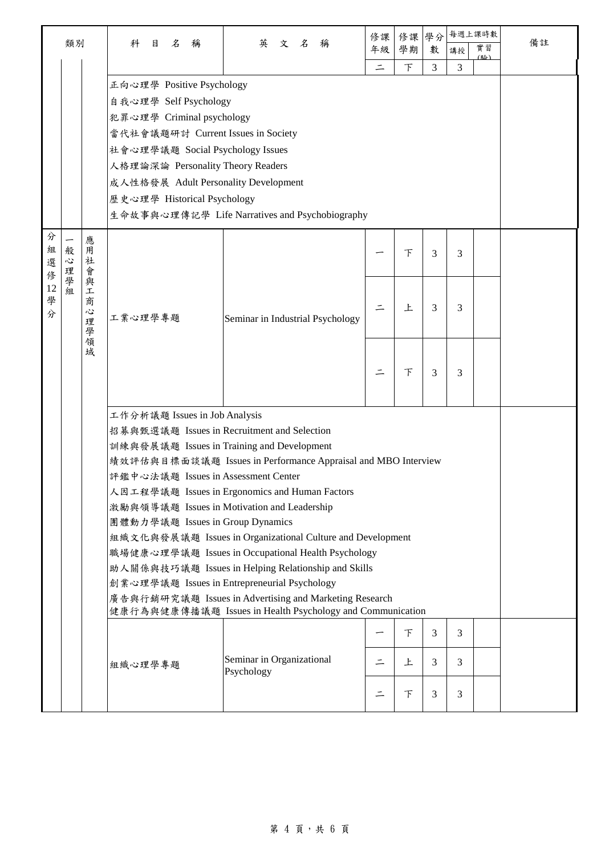|                  |             |                       |                                                                                                                                                                                                                                                                       |                                                                                                                                                                                                                                                                                                                                                                                                                                                                   | 修課       | 修課     | 學分             |                | 每週上課時數    |    |
|------------------|-------------|-----------------------|-----------------------------------------------------------------------------------------------------------------------------------------------------------------------------------------------------------------------------------------------------------------------|-------------------------------------------------------------------------------------------------------------------------------------------------------------------------------------------------------------------------------------------------------------------------------------------------------------------------------------------------------------------------------------------------------------------------------------------------------------------|----------|--------|----------------|----------------|-----------|----|
|                  | 類別          |                       | 科<br>名<br>目<br>稱                                                                                                                                                                                                                                                      | 英<br>文 名<br>稱                                                                                                                                                                                                                                                                                                                                                                                                                                                     | 年級       | 學期     | 數              | 講授             | 實習<br>(脸) | 備註 |
|                  |             |                       |                                                                                                                                                                                                                                                                       |                                                                                                                                                                                                                                                                                                                                                                                                                                                                   | $\equiv$ | 下      | $\overline{3}$ | 3              |           |    |
|                  |             |                       | 正向心理學 Positive Psychology<br>自我心理學 Self Psychology<br>犯罪心理學 Criminal psychology<br>當代社會議題研討 Current Issues in Society<br>社會心理學議題 Social Psychology Issues<br>人格理論深論 Personality Theory Readers<br>成人性格發展 Adult Personality Development<br>歷史心理學 Historical Psychology | 生命故事與心理傳記學 Life Narratives and Psychobiography                                                                                                                                                                                                                                                                                                                                                                                                                    |          |        |                |                |           |    |
| 分<br>組<br>選<br>俢 | 般<br>心<br>理 | 應<br>用<br>社<br>會      |                                                                                                                                                                                                                                                                       |                                                                                                                                                                                                                                                                                                                                                                                                                                                                   |          | 下      | 3              | 3              |           |    |
| 12<br>學<br>分     | 學<br>組      | 與<br>工<br>商<br>心<br>理 | 工業心理學專題                                                                                                                                                                                                                                                               | Seminar in Industrial Psychology                                                                                                                                                                                                                                                                                                                                                                                                                                  |          | 上      | 3              | 3              |           |    |
|                  |             | 一學領域                  |                                                                                                                                                                                                                                                                       |                                                                                                                                                                                                                                                                                                                                                                                                                                                                   |          | 下      | 3              | 3              |           |    |
|                  |             |                       | 工作分析議題 Issues in Job Analysis<br>招募與甄選議題 Issues in Recruitment and Selection<br>訓練與發展議題 Issues in Training and Development<br>評鑑中心法議題 Issues in Assessment Center<br>激勵與領導議題 Issues in Motivation and Leadership<br>團體動力學議題 Issues in Group Dynamics                  | 績效評估與目標面談議題 Issues in Performance Appraisal and MBO Interview<br>人因工程學議題 Issues in Ergonomics and Human Factors<br>組織文化與發展議題 Issues in Organizational Culture and Development<br>職場健康心理學議題 Issues in Occupational Health Psychology<br>助人關係與技巧議題 Issues in Helping Relationship and Skills<br>創業心理學議題 Issues in Entrepreneurial Psychology<br>廣告與行銷研究議題 Issues in Advertising and Marketing Research<br>健康行為與健康傳播議題 Issues in Health Psychology and Communication |          |        |                |                |           |    |
|                  |             |                       |                                                                                                                                                                                                                                                                       |                                                                                                                                                                                                                                                                                                                                                                                                                                                                   |          | $\top$ | $\overline{3}$ |                |           |    |
|                  |             |                       |                                                                                                                                                                                                                                                                       |                                                                                                                                                                                                                                                                                                                                                                                                                                                                   |          |        |                | $\mathfrak{Z}$ |           |    |
|                  |             |                       | 組織心理學專題                                                                                                                                                                                                                                                               | Seminar in Organizational<br>Psychology                                                                                                                                                                                                                                                                                                                                                                                                                           | $\equiv$ | 上      | 3              | 3              |           |    |
|                  |             |                       |                                                                                                                                                                                                                                                                       |                                                                                                                                                                                                                                                                                                                                                                                                                                                                   |          | 下      | 3              | 3              |           |    |

## $\,$ 第 $\,$ 4 頁, 共 $\,$ 6 頁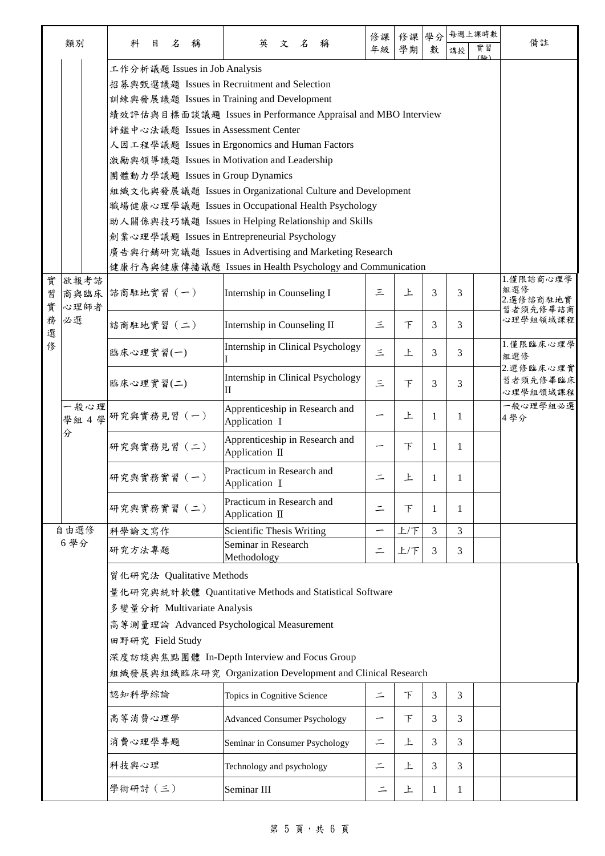|        |                    |                  |                                                                                                |                                   |                             |                                                               |     |   |          | 修課               | 修課     | 學分                   |    | 每週上課時數 |           |
|--------|--------------------|------------------|------------------------------------------------------------------------------------------------|-----------------------------------|-----------------------------|---------------------------------------------------------------|-----|---|----------|------------------|--------|----------------------|----|--------|-----------|
|        | 類別                 | 科                | 目                                                                                              | $\mathcal{Z}$                     | 稱                           | 英                                                             | 文 名 |   | 稱        | 年級               | 學期     | 數                    | 講授 | 實習     | 備註        |
|        |                    |                  |                                                                                                |                                   |                             | 工作分析議題 Issues in Job Analysis                                 |     |   |          |                  |        |                      |    | (略)    |           |
|        |                    |                  |                                                                                                |                                   |                             | 招募與甄選議題 Issues in Recruitment and Selection                   |     |   |          |                  |        |                      |    |        |           |
|        |                    |                  |                                                                                                |                                   |                             | 訓練與發展議題 Issues in Training and Development                    |     |   |          |                  |        |                      |    |        |           |
|        |                    |                  |                                                                                                |                                   |                             | 績效評估與目標面談議題 Issues in Performance Appraisal and MBO Interview |     |   |          |                  |        |                      |    |        |           |
|        |                    |                  |                                                                                                |                                   |                             | 評鑑中心法議題 Issues in Assessment Center                           |     |   |          |                  |        |                      |    |        |           |
|        |                    |                  |                                                                                                |                                   |                             | 人因工程學議題 Issues in Ergonomics and Human Factors                |     |   |          |                  |        |                      |    |        |           |
|        |                    |                  |                                                                                                |                                   |                             | 激勵與領導議題 Issues in Motivation and Leadership                   |     |   |          |                  |        |                      |    |        |           |
|        |                    |                  |                                                                                                |                                   |                             |                                                               |     |   |          |                  |        |                      |    |        |           |
|        |                    |                  | 團體動力學議題 Issues in Group Dynamics<br>組織文化與發展議題 Issues in Organizational Culture and Development |                                   |                             |                                                               |     |   |          |                  |        |                      |    |        |           |
|        |                    |                  |                                                                                                |                                   |                             | 職場健康心理學議題 Issues in Occupational Health Psychology            |     |   |          |                  |        |                      |    |        |           |
|        |                    |                  |                                                                                                |                                   |                             | 助人關係與技巧議題 Issues in Helping Relationship and Skills           |     |   |          |                  |        |                      |    |        |           |
|        |                    |                  |                                                                                                |                                   |                             | 創業心理學議題 Issues in Entrepreneurial Psychology                  |     |   |          |                  |        |                      |    |        |           |
|        |                    |                  |                                                                                                |                                   |                             | 廣告與行銷研究議題 Issues in Advertising and Marketing Research        |     |   |          |                  |        |                      |    |        |           |
|        |                    |                  |                                                                                                |                                   |                             | 健康行為與健康傳播議題 Issues in Health Psychology and Communication     |     |   |          |                  |        |                      |    |        |           |
| 實      | 欲報考諮               |                  |                                                                                                |                                   |                             |                                                               |     |   |          |                  |        |                      |    |        | 1.僅限諮商心理學 |
| 習      | 商與臨床               | 諮商駐地實習 (一)       |                                                                                                | Internship in Counseling I        | 三                           | 上                                                             | 3   | 3 |          | 組選修<br>2.選修諮商駐地實 |        |                      |    |        |           |
| 實      | 心理師者               |                  |                                                                                                |                                   |                             |                                                               |     |   |          |                  |        |                      |    |        | 習者須先修畢諮商  |
| 務<br>選 | 必選                 | 諮商駐地實習 (二)       |                                                                                                |                                   |                             | Internship in Counseling II                                   |     |   |          | 三                | $\top$ | 3                    | 3  |        | 心理學組領域課程  |
| 俢      |                    | 臨床心理實習(一)        |                                                                                                | Internship in Clinical Psychology |                             |                                                               |     |   |          | 1.僅限臨床心理學        |        |                      |    |        |           |
|        |                    |                  |                                                                                                |                                   | 三                           | 上                                                             | 3   | 3 |          | 組選修              |        |                      |    |        |           |
|        |                    |                  |                                                                                                |                                   |                             | Internship in Clinical Psychology<br>П                        |     |   |          |                  |        | 2.選修臨床心理實            |    |        |           |
|        |                    | 臨床心理實習(二)        |                                                                                                |                                   |                             |                                                               | 三   | 下 | 3        | 3                |        | 習者須先修畢臨床<br>心理學組領域課程 |    |        |           |
|        | 一般心理               |                  | Apprenticeship in Research and                                                                 |                                   |                             |                                                               |     |   | 一般心理學組必選 |                  |        |                      |    |        |           |
|        | 學組 4 學 研究與實務見習 (一) |                  |                                                                                                |                                   |                             | Application I                                                 |     |   |          | —                | 上      | 1                    | 1  |        | 4學分       |
|        | 分                  |                  |                                                                                                |                                   |                             |                                                               |     |   |          |                  |        |                      |    |        |           |
|        |                    | 研究與實務見習 (二)      |                                                                                                |                                   |                             | Apprenticeship in Research and<br>Application II              |     |   |          |                  | $\top$ | 1                    | 1  |        |           |
|        |                    |                  |                                                                                                |                                   |                             | Practicum in Research and                                     |     |   |          |                  |        |                      |    |        |           |
|        |                    | 研究與實務實習 (一)      |                                                                                                |                                   |                             | Application I                                                 |     |   |          | $\equiv$         | 上      | 1                    | 1  |        |           |
|        |                    |                  |                                                                                                |                                   |                             | Practicum in Research and                                     |     |   |          |                  |        |                      |    |        |           |
|        |                    | 研究與實務實習 (二)      |                                                                                                |                                   |                             | Application II                                                |     |   |          | $\equiv$         | 下      | 1                    | 1  |        |           |
|        | 自由選修               | 科學論文寫作           |                                                                                                |                                   |                             | Scientific Thesis Writing                                     |     |   |          | -                | 上/下    | 3                    | 3  |        |           |
|        | 6學分                |                  |                                                                                                |                                   |                             | Seminar in Research                                           |     |   |          |                  |        |                      |    |        |           |
|        |                    | 研究方法專題           |                                                                                                |                                   |                             | Methodology                                                   |     |   |          | ⋍                | 上/下    | 3                    | 3  |        |           |
|        |                    |                  |                                                                                                |                                   | 質化研究法 Qualitative Methods   |                                                               |     |   |          |                  |        |                      |    |        |           |
|        |                    |                  |                                                                                                |                                   |                             | 量化研究與統計軟體 Quantitative Methods and Statistical Software       |     |   |          |                  |        |                      |    |        |           |
|        |                    |                  |                                                                                                |                                   | 多變量分析 Multivariate Analysis |                                                               |     |   |          |                  |        |                      |    |        |           |
|        |                    |                  |                                                                                                |                                   |                             | 高等測量理論 Advanced Psychological Measurement                     |     |   |          |                  |        |                      |    |        |           |
|        |                    | 田野研究 Field Study |                                                                                                |                                   |                             |                                                               |     |   |          |                  |        |                      |    |        |           |
|        |                    |                  |                                                                                                |                                   |                             |                                                               |     |   |          |                  |        |                      |    |        |           |
|        |                    |                  |                                                                                                |                                   |                             | 深度訪談與焦點團體 In-Depth Interview and Focus Group                  |     |   |          |                  |        |                      |    |        |           |
|        |                    |                  |                                                                                                |                                   |                             | 組織發展與組織臨床研究 Organization Development and Clinical Research    |     |   |          |                  |        |                      |    |        |           |
|        |                    | 認知科學綜論           |                                                                                                |                                   |                             | Topics in Cognitive Science                                   |     |   |          | $\equiv$         | 下      | 3                    | 3  |        |           |
|        |                    |                  |                                                                                                |                                   |                             |                                                               |     |   |          |                  |        |                      |    |        |           |
|        |                    | 高等消費心理學          |                                                                                                |                                   |                             | <b>Advanced Consumer Psychology</b>                           |     |   |          | -                | 下      | 3                    | 3  |        |           |
|        |                    | 消費心理學專題          |                                                                                                |                                   |                             | Seminar in Consumer Psychology                                |     |   |          | $\equiv$         | 上      | 3                    | 3  |        |           |
|        |                    |                  |                                                                                                |                                   |                             |                                                               |     |   |          |                  |        |                      |    |        |           |
|        |                    | 科技與心理            |                                                                                                |                                   |                             | Technology and psychology                                     |     |   |          | $\equiv$         | 上      | 3                    | 3  |        |           |
|        |                    | 學術研討 (三)         |                                                                                                |                                   |                             | Seminar III                                                   |     |   |          | 드                | 上      | 1                    | 1  |        |           |